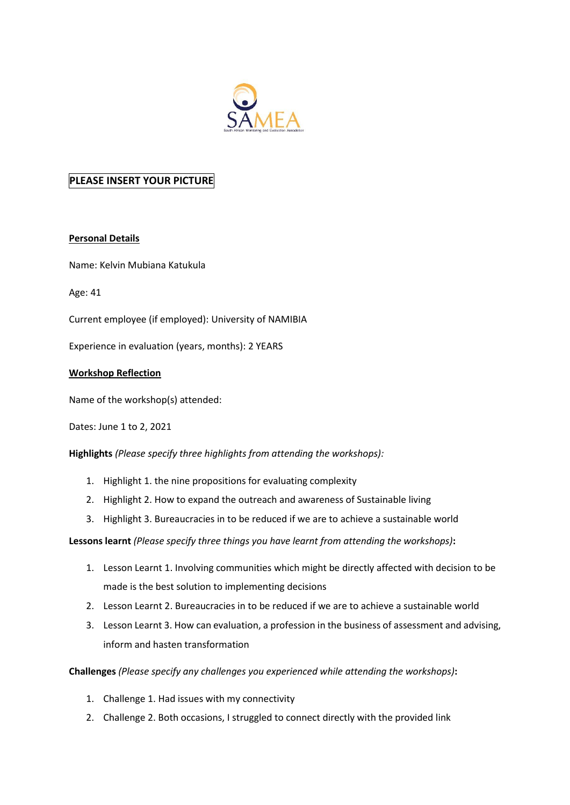

## **PLEASE INSERT YOUR PICTURE**

## **Personal Details**

Name: Kelvin Mubiana Katukula

Age: 41

Current employee (if employed): University of NAMIBIA

Experience in evaluation (years, months): 2 YEARS

## **Workshop Reflection**

Name of the workshop(s) attended:

Dates: June 1 to 2, 2021

**Highlights** *(Please specify three highlights from attending the workshops):*

- 1. Highlight 1. the nine propositions for evaluating complexity
- 2. Highlight 2. How to expand the outreach and awareness of Sustainable living
- 3. Highlight 3. Bureaucracies in to be reduced if we are to achieve a sustainable world

**Lessons learnt** *(Please specify three things you have learnt from attending the workshops)***:** 

- 1. Lesson Learnt 1. Involving communities which might be directly affected with decision to be made is the best solution to implementing decisions
- 2. Lesson Learnt 2. Bureaucracies in to be reduced if we are to achieve a sustainable world
- 3. Lesson Learnt 3. How can evaluation, a profession in the business of assessment and advising, inform and hasten transformation

**Challenges** *(Please specify any challenges you experienced while attending the workshops)***:**

- 1. Challenge 1. Had issues with my connectivity
- 2. Challenge 2. Both occasions, I struggled to connect directly with the provided link